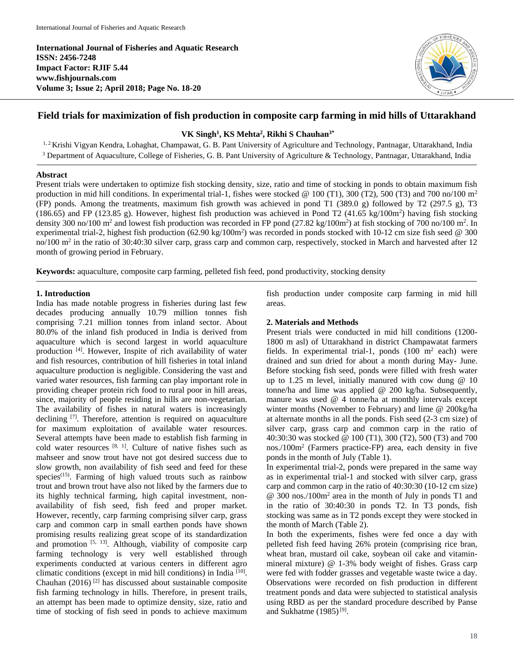**International Journal of Fisheries and Aquatic Research ISSN: 2456-7248 Impact Factor: RJIF 5.44 www.fishjournals.com Volume 3; Issue 2; April 2018; Page No. 18-20**



# **Field trials for maximization of fish production in composite carp farming in mid hills of Uttarakhand**

**VK Singh<sup>1</sup> , KS Mehta<sup>2</sup> , Rikhi S Chauhan3\***

<sup>1, 2</sup> Krishi Vigyan Kendra, Lohaghat, Champawat, G. B. Pant University of Agriculture and Technology, Pantnagar, Uttarakhand, India <sup>3</sup> Department of Aquaculture, College of Fisheries, G. B. Pant University of Agriculture & Technology, Pantnagar, Uttarakhand, India

## **Abstract**

Present trials were undertaken to optimize fish stocking density, size, ratio and time of stocking in ponds to obtain maximum fish production in mid hill conditions. In experimental trial-1, fishes were stocked @ 100 (T1), 300 (T2), 500 (T3) and 700 no/100 m<sup>2</sup> (FP) ponds. Among the treatments, maximum fish growth was achieved in pond T1 (389.0 g) followed by T2 (297.5 g), T3 (186.65) and FP (123.85 g). However, highest fish production was achieved in Pond T2 (41.65 kg/100m<sup>2</sup>) having fish stocking density 300 no/100 m<sup>2</sup> and lowest fish production was recorded in FP pond  $(27.82 \text{ kg}/100 \text{m}^2)$  at fish stocking of 700 no/100 m<sup>2</sup>. In experimental trial-2, highest fish production (62.90 kg/100m<sup>2</sup>) was recorded in ponds stocked with 10-12 cm size fish seed @ 300 no/100 m<sup>2</sup> in the ratio of 30:40:30 silver carp, grass carp and common carp, respectively, stocked in March and harvested after 12 month of growing period in February.

**Keywords:** aquaculture, composite carp farming, pelleted fish feed, pond productivity, stocking density

# **1. Introduction**

India has made notable progress in fisheries during last few decades producing annually 10.79 million tonnes fish comprising 7.21 million tonnes from inland sector. About 80.0% of the inland fish produced in India is derived from aquaculture which is second largest in world aquaculture production [4]. However, Inspite of rich availability of water and fish resources, contribution of hill fisheries in total inland aquaculture production is negligible. Considering the vast and varied water resources, fish farming can play important role in providing cheaper protein rich food to rural poor in hill areas, since, majority of people residing in hills are non-vegetarian. The availability of fishes in natural waters is increasingly declining [7]. Therefore, attention is required on aquaculture for maximum exploitation of available water resources. Several attempts have been made to establish fish farming in cold water resources  $[8, 1]$ . Culture of native fishes such as mahseer and snow trout have not got desired success due to slow growth, non availability of fish seed and feed for these species<sup> $(15)$ </sup>. Farming of high valued trouts such as rainbow trout and brown trout have also not liked by the farmers due to its highly technical farming, high capital investment, nonavailability of fish seed, fish feed and proper market. However, recently, carp farming comprising silver carp, grass carp and common carp in small earthen ponds have shown promising results realizing great scope of its standardization and promotion  $[5, 13]$ . Although, viability of composite carp farming technology is very well established through experiments conducted at various centers in different agro climatic conditions (except in mid hill conditions) in India [10] . Chauhan  $(2016)$ <sup>[2]</sup> has discussed about sustainable composite fish farming technology in hills. Therefore, in present trails, an attempt has been made to optimize density, size, ratio and time of stocking of fish seed in ponds to achieve maximum

fish production under composite carp farming in mid hill areas.

# **2. Materials and Methods**

Present trials were conducted in mid hill conditions (1200- 1800 m asl) of Uttarakhand in district Champawatat farmers fields. In experimental trial-1, ponds  $(100 \text{ m}^2 \text{ each})$  were drained and sun dried for about a month during May- June. Before stocking fish seed, ponds were filled with fresh water up to 1.25 m level, initially manured with cow dung @ 10 tonne/ha and lime was applied @ 200 kg/ha. Subsequently, manure was used @ 4 tonne/ha at monthly intervals except winter months (November to February) and lime @ 200kg/ha at alternate months in all the ponds. Fish seed (2-3 cm size) of silver carp, grass carp and common carp in the ratio of 40:30:30 was stocked @ 100 (T1), 300 (T2), 500 (T3) and 700 nos./100m<sup>2</sup> (Farmers practice-FP) area, each density in five ponds in the month of July (Table 1).

In experimental trial-2, ponds were prepared in the same way as in experimental trial-1 and stocked with silver carp, grass carp and common carp in the ratio of 40:30:30 (10-12 cm size) @ 300 nos./100m<sup>2</sup> area in the month of July in ponds T1 and in the ratio of 30:40:30 in ponds T2. In T3 ponds, fish stocking was same as in T2 ponds except they were stocked in the month of March (Table 2).

In both the experiments, fishes were fed once a day with pelleted fish feed having 26% protein (comprising rice bran, wheat bran, mustard oil cake, soybean oil cake and vitaminmineral mixture) @ 1-3% body weight of fishes. Grass carp were fed with fodder grasses and vegetable waste twice a day. Observations were recorded on fish production in different treatment ponds and data were subjected to statistical analysis using RBD as per the standard procedure described by Panse and Sukhatme  $(1985)^{[9]}$ .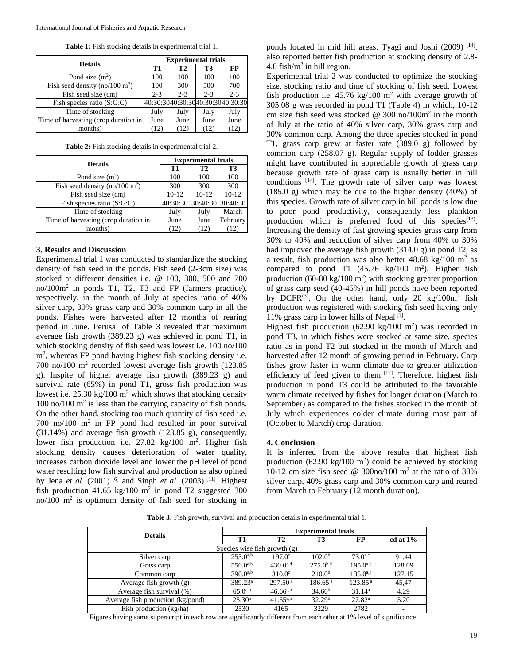**Table 1:** Fish stocking details in experimental trial 1.

| <b>Details</b>                             | <b>Experimental trials</b>       |         |         |         |
|--------------------------------------------|----------------------------------|---------|---------|---------|
|                                            | T1                               | Т2      | T3      | FP      |
| Pond size $(m2)$                           | 100                              | 100     | 100     | 100     |
| Fish seed density (no/100 m <sup>2</sup> ) | 100                              | 300     | 500     | 700     |
| Fish seed size (cm)                        | $2 - 3$                          | $2 - 3$ | $2 - 3$ | $2 - 3$ |
| Fish species ratio (S:G:C)                 | 40:30:3040:30:3040:30:3040:30:30 |         |         |         |
| Time of stocking                           | July                             | July    | July    | July    |
| Time of harvesting (crop duration in       | June                             | June    | June    | June    |
| months)                                    | (12)                             | (12)    | (12)    | (12     |

**Table 2:** Fish stocking details in experimental trial 2.

|                                                | <b>Experimental trials</b> |                   |              |  |
|------------------------------------------------|----------------------------|-------------------|--------------|--|
| <b>Details</b>                                 | T1                         | <b>T2</b>         | T3           |  |
| Pond size $(m^2)$                              | 100                        | 100               | 100          |  |
| Fish seed density (no/100 m <sup>2</sup> )     | 300                        | 300               | 300          |  |
| Fish seed size (cm)                            | $10 - 12$                  | $10 - 12$         | $10 - 12$    |  |
| $\overline{\text{Fish}}$ species ratio (S:G:C) | 40:30:30                   | 30:40:30 30:40:30 |              |  |
| Time of stocking                               | July                       | July              | March        |  |
| Time of harvesting (crop duration in           | June                       | June              | February     |  |
| months)                                        | (12)                       | (12)              | $12^{\circ}$ |  |

## **3. Results and Discussion**

Experimental trial 1 was conducted to standardize the stocking density of fish seed in the ponds. Fish seed (2-3cm size) was stocked at different densities i.e. @ 100, 300, 500 and 700 no/100m<sup>2</sup> in ponds T1, T2, T3 and FP (farmers practice), respectively, in the month of July at species ratio of 40% silver carp, 30% grass carp and 30% common carp in all the ponds. Fishes were harvested after 12 months of rearing period in June. Perusal of Table 3 revealed that maximum average fish growth (389.23 g) was achieved in pond T1, in which stocking density of fish seed was lowest i.e. 100 no/100 m<sup>2</sup>, whereas FP pond having highest fish stocking density i.e. 700 no/100 m<sup>2</sup> recorded lowest average fish growth (123.85 g). Inspite of higher average fish growth (389.23 g) and survival rate (65%) in pond T1, gross fish production was lowest i.e.  $25.30 \text{ kg}/100 \text{ m}^2$  which shows that stocking density 100 no/100 m<sup>2</sup> is less than the carrying capacity of fish ponds. On the other hand, stocking too much quantity of fish seed i.e. 700 no/100  $m^2$  in FP pond had resulted in poor survival (31.14%) and average fish growth (123.85 g), consequently, lower fish production i.e. 27.82 kg/100 m<sup>2</sup>. Higher fish stocking density causes deterioration of water quality, increases carbon dioxide level and lower the pH level of pond water resulting low fish survival and production as also opined by Jena *et al.* (2001) <sup>[6]</sup> and Singh *et al.* (2003) <sup>[11]</sup>. Highest fish production 41.65 kg/100  $m^2$  in pond T2 suggested 300 no/100 m<sup>2</sup> is optimum density of fish seed for stocking in

ponds located in mid hill areas. Tyagi and Joshi (2009) [14]. also reported better fish production at stocking density of 2.8- 4.0 fish/ $m^2$  in hill region.

Experimental trial 2 was conducted to optimize the stocking size, stocking ratio and time of stocking of fish seed. Lowest fish production i.e.  $45.76 \text{ kg}/100 \text{ m}^2$  with average growth of 305.08 g was recorded in pond T1 (Table 4) in which, 10-12 cm size fish seed was stocked @  $300 \text{ no}/100 \text{m}^2$  in the month of July at the ratio of 40% silver carp, 30% grass carp and 30% common carp. Among the three species stocked in pond T1, grass carp grew at faster rate (389.0 g) followed by common carp (258.07 g). Regular supply of fodder grasses might have contributed in appreciable growth of grass carp because growth rate of grass carp is usually better in hill conditions [14] . The growth rate of silver carp was lowest  $(185.0 \text{ g})$  which may be due to the higher density  $(40\%)$  of this species. Growth rate of silver carp in hill ponds is low due to poor pond productivity, consequently less plankton production which is preferred food of this species<sup>(13)</sup>. Increasing the density of fast growing species grass carp from 30% to 40% and reduction of silver carp from 40% to 30% had improved the average fish growth (314.0 g) in pond T2, as a result, fish production was also better  $48.68 \text{ kg}/100 \text{ m}^2$  as compared to pond T1  $(45.76 \text{ kg}/100 \text{ m}^2)$ . Higher fish production  $(60-80 \text{ kg}/100 \text{ m}^2)$  with stocking greater proportion of grass carp seed (40-45%) in hill ponds have been reported by DCFR<sup>(3)</sup>. On the other hand, only 20 kg/100 $m^2$  fish production was registered with stocking fish seed having only 11% grass carp in lower hills of Nepal<sup>[1]</sup>.

Highest fish production  $(62.90 \text{ kg}/100 \text{ m}^2)$  was recorded in pond T3, in which fishes were stocked at same size, species ratio as in pond T2 but stocked in the month of March and harvested after 12 month of growing period in February. Carp fishes grow faster in warm climate due to greater utilization efficiency of feed given to them  $[12]$ . Therefore, highest fish production in pond T3 could be attributed to the favorable warm climate received by fishes for longer duration (March to September) as compared to the fishes stocked in the month of July which experiences colder climate during most part of (October to Martch) crop duration.

#### **4. Conclusion**

It is inferred from the above results that highest fish production  $(62.90 \text{ kg}/100 \text{ m}^2)$  could be achieved by stocking 10-12 cm size fish seed @ 300no/100  $m^2$  at the ratio of 30% silver carp, 40% grass carp and 30% common carp and reared from March to February (12 month duration).

**Table 3:** Fish growth, survival and production details in experimental trial 1.

| <b>Details</b>                    | <b>Experimental trials</b> |                     |                     |                     |             |
|-----------------------------------|----------------------------|---------------------|---------------------|---------------------|-------------|
|                                   | T1                         | T2                  | T3                  | FP                  | cd at $1\%$ |
| Species wise fish growth $(g)$    |                            |                     |                     |                     |             |
| Silver carp                       | $253.0^{a,b}$              | $197.0^{\circ}$     | 102.0 <sup>b</sup>  | $73.0^{a,c}$        | 91.44       |
| Grass carp                        | $550.0^{a,b}$              | $430.0^{c,d}$       | $275.0^{b,d}$       | $195.0^{a,c}$       | 128.09      |
| Common carp                       | $390.0^{a,b}$              | $310.0^\circ$       | 210.0 <sup>b</sup>  | $135.0^{a,c}$       | 127.15      |
| Average fish growth (g)           | 389.23 <sup>a</sup>        | 297.50 <sup>a</sup> | 186.65 <sup>a</sup> | 123.85 <sup>a</sup> | 45,47       |
| Average fish survival (%)         | $65.0^{a,b}$               | $46.66^{a,b}$       | 34.60 <sup>b</sup>  | 31.14 <sup>a</sup>  | 4.29        |
| Average fish production (kg/pond) | 25.30 <sup>b</sup>         | $41.65^{a,b}$       | 32.29 <sup>b</sup>  | $27.82^{\rm a}$     | 5.20        |
| Fish production (kg/ha)           | 2530                       | 4165                | 3229                | 2782                | ٠           |

Figures having same superscript in each row are significantly different from each other at 1% level of significance